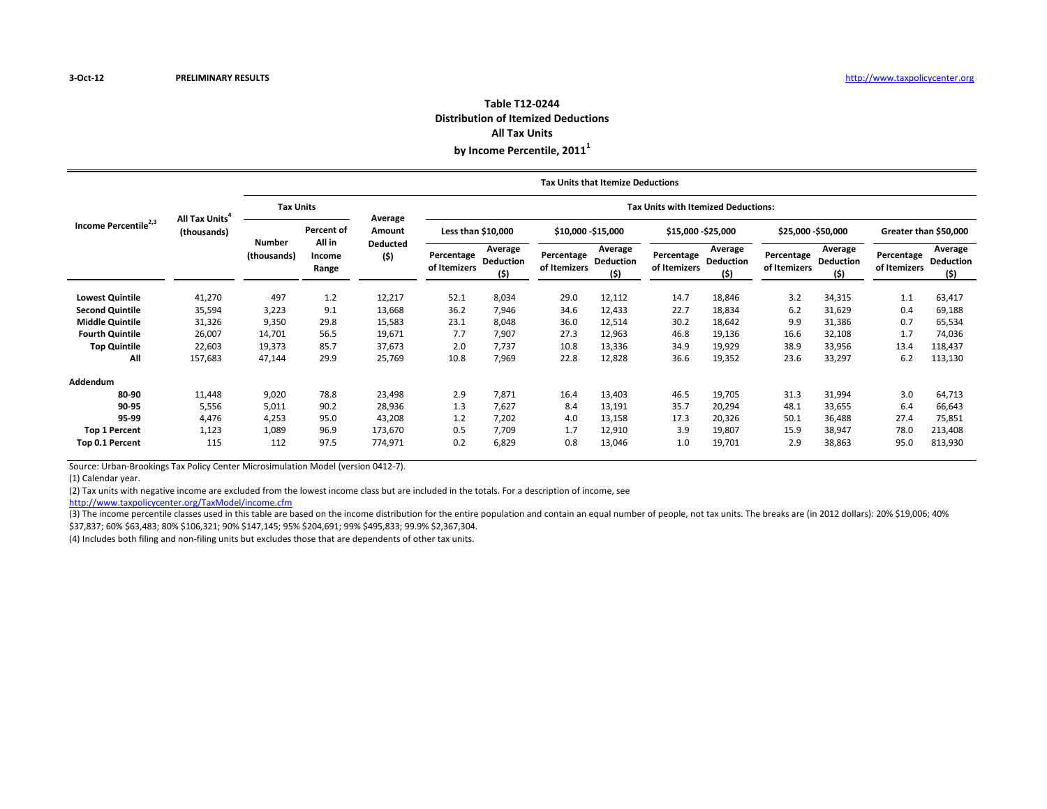### **Distribution of Itemized Deductions All Tax Units Table T12-0244**

**by Income Percentile, 2011<sup>1</sup>**

|                                  |                              | Tax Units that Itemize Deductions |                           |                         |                                            |                             |                            |                                     |                            |                                    |                            |                              |                            |                              |  |  |
|----------------------------------|------------------------------|-----------------------------------|---------------------------|-------------------------|--------------------------------------------|-----------------------------|----------------------------|-------------------------------------|----------------------------|------------------------------------|----------------------------|------------------------------|----------------------------|------------------------------|--|--|
|                                  | All Tax Units<br>(thousands) | <b>Tax Units</b>                  |                           |                         | <b>Tax Units with Itemized Deductions:</b> |                             |                            |                                     |                            |                                    |                            |                              |                            |                              |  |  |
| Income Percentile <sup>2,3</sup> |                              |                                   | Percent of                | Average<br>Amount       | Less than \$10,000                         |                             | \$10,000 -\$15,000         |                                     | \$15,000 - \$25,000        |                                    | \$25,000 - \$50,000        |                              | Greater than \$50,000      |                              |  |  |
|                                  |                              | Number<br>(thousands)             | All in<br>Income<br>Range | <b>Deducted</b><br>(\$) | Percentage<br>of Itemizers                 | Average<br>Deduction<br>(5) | Percentage<br>of Itemizers | Average<br><b>Deduction</b><br>(\$) | Percentage<br>of Itemizers | Average<br><b>Deduction</b><br>(5) | Percentage<br>of Itemizers | Average<br>Deduction<br>(\$) | Percentage<br>of Itemizers | Average<br>Deduction<br>(\$) |  |  |
| <b>Lowest Quintile</b>           | 41,270                       | 497                               | 1.2                       | 12,217                  | 52.1                                       | 8,034                       | 29.0                       | 12,112                              | 14.7                       | 18,846                             | 3.2                        | 34,315                       | 1.1                        | 63,417                       |  |  |
| <b>Second Quintile</b>           | 35,594                       | 3,223                             | 9.1                       | 13,668                  | 36.2                                       | 7,946                       | 34.6                       | 12,433                              | 22.7                       | 18,834                             | 6.2                        | 31,629                       | 0.4                        | 69,188                       |  |  |
| <b>Middle Quintile</b>           | 31,326                       | 9,350                             | 29.8                      | 15,583                  | 23.1                                       | 8,048                       | 36.0                       | 12,514                              | 30.2                       | 18,642                             | 9.9                        | 31,386                       | 0.7                        | 65,534                       |  |  |
| <b>Fourth Quintile</b>           | 26,007                       | 14,701                            | 56.5                      | 19,671                  | 7.7                                        | 7,907                       | 27.3                       | 12,963                              | 46.8                       | 19,136                             | 16.6                       | 32,108                       | 1.7                        | 74,036                       |  |  |
| <b>Top Quintile</b>              | 22,603                       | 19,373                            | 85.7                      | 37,673                  | 2.0                                        | 7,737                       | 10.8                       | 13,336                              | 34.9                       | 19,929                             | 38.9                       | 33,956                       | 13.4                       | 118,437                      |  |  |
| All                              | 157,683                      | 47,144                            | 29.9                      | 25,769                  | 10.8                                       | 7,969                       | 22.8                       | 12,828                              | 36.6                       | 19,352                             | 23.6                       | 33,297                       | 6.2                        | 113,130                      |  |  |
| Addendum                         |                              |                                   |                           |                         |                                            |                             |                            |                                     |                            |                                    |                            |                              |                            |                              |  |  |
| 80-90                            | 11,448                       | 9,020                             | 78.8                      | 23,498                  | 2.9                                        | 7,871                       | 16.4                       | 13,403                              | 46.5                       | 19,705                             | 31.3                       | 31,994                       | 3.0                        | 64,713                       |  |  |
| 90-95                            | 5,556                        | 5,011                             | 90.2                      | 28,936                  | 1.3                                        | 7,627                       | 8.4                        | 13,191                              | 35.7                       | 20,294                             | 48.1                       | 33,655                       | 6.4                        | 66,643                       |  |  |
| 95-99                            | 4,476                        | 4,253                             | 95.0                      | 43,208                  | 1.2                                        | 7,202                       | 4.0                        | 13,158                              | 17.3                       | 20,326                             | 50.1                       | 36,488                       | 27.4                       | 75,851                       |  |  |
| <b>Top 1 Percent</b>             | 1,123                        | 1,089                             | 96.9                      | 173,670                 | 0.5                                        | 7,709                       | 1.7                        | 12,910                              | 3.9                        | 19,807                             | 15.9                       | 38,947                       | 78.0                       | 213,408                      |  |  |
| Top 0.1 Percent                  | 115                          | 112                               | 97.5                      | 774,971                 | 0.2                                        | 6,829                       | 0.8                        | 13,046                              | 1.0                        | 19,701                             | 2.9                        | 38,863                       | 95.0                       | 813,930                      |  |  |

Source: Urban-Brookings Tax Policy Center Microsimulation Model (version 0412-7).

(1) Calendar year.

(2) Tax units with negative income are excluded from the lowest income class but are included in the totals. For a description of income, see

[http://www.taxpolicyce](http://www.taxpolicycenter.org/TaxModel/income.cfm)nter.org/TaxModel/income.cfm

(3) The income percentile classes used in this table are based on the income distribution for the entire population and contain an equal number of people, not tax units. The breaks are (in 2012 dollars): 20% \$19,006; 40% \$37,837; 60% \$63,483; 80% \$106,321; 90% \$147,145; 95% \$204,691; 99% \$495,833; 99.9% \$2,367,304.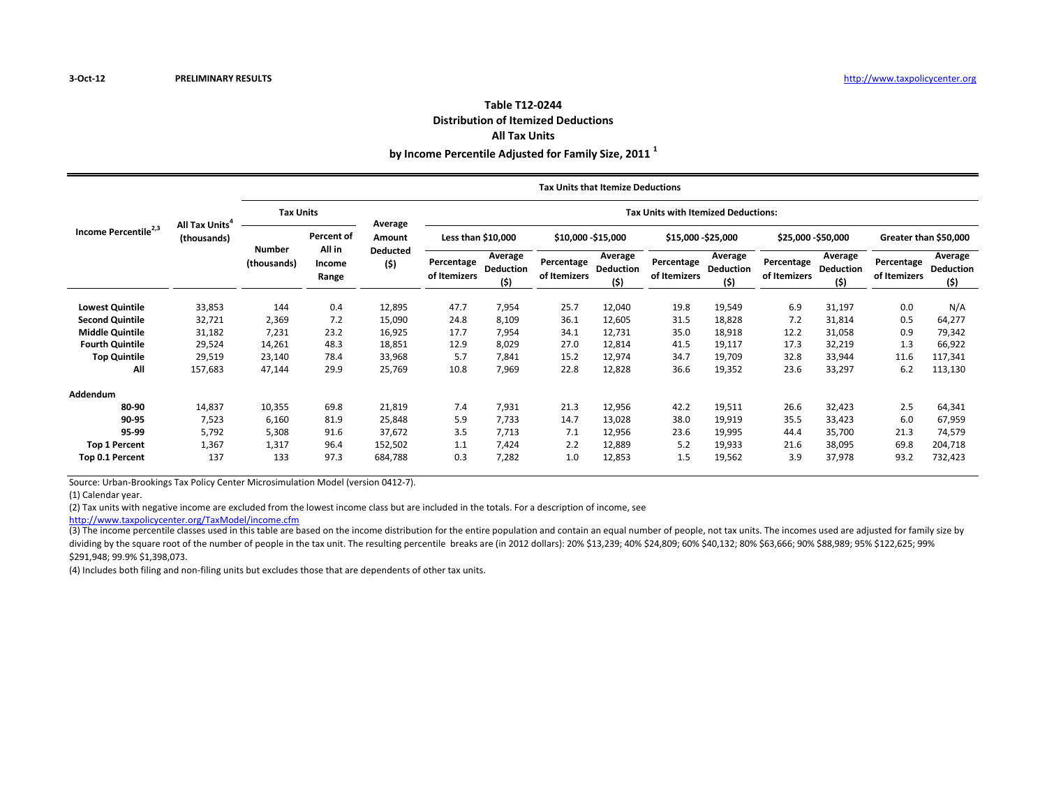#### **Table T12-0244 Distribution of Itemized Deductions All Tax Units**

**by Income Percentile Adjusted for Family Size, 2011 <sup>1</sup>**

|                                  |                                           | <b>Tax Units that Itemize Deductions</b> |                      |                        |                                            |                                     |                            |                              |                            |                                    |                            |                                    |                            |                                    |  |  |
|----------------------------------|-------------------------------------------|------------------------------------------|----------------------|------------------------|--------------------------------------------|-------------------------------------|----------------------------|------------------------------|----------------------------|------------------------------------|----------------------------|------------------------------------|----------------------------|------------------------------------|--|--|
|                                  | All Tax Units <sup>4</sup><br>(thousands) | <b>Tax Units</b>                         |                      |                        | <b>Tax Units with Itemized Deductions:</b> |                                     |                            |                              |                            |                                    |                            |                                    |                            |                                    |  |  |
| Income Percentile <sup>2,3</sup> |                                           | <b>Number</b>                            | Percent of<br>All in | Average<br>Amount      | Less than \$10,000                         |                                     | \$10,000 - \$15,000        |                              | \$15,000 - \$25,000        |                                    | \$25,000 - \$50,000        |                                    | Greater than \$50,000      |                                    |  |  |
|                                  |                                           | (thousands)                              | Income<br>Range      | <b>Deducted</b><br>(5) | Percentage<br>of Itemizers                 | Average<br><b>Deduction</b><br>(\$) | Percentage<br>of Itemizers | Average<br>Deduction<br>(\$) | Percentage<br>of Itemizers | Average<br><b>Deduction</b><br>(5) | Percentage<br>of Itemizers | Average<br><b>Deduction</b><br>(5) | Percentage<br>of Itemizers | Average<br><b>Deduction</b><br>(5) |  |  |
| <b>Lowest Quintile</b>           | 33,853                                    | 144                                      | 0.4                  | 12,895                 | 47.7                                       | 7,954                               | 25.7                       | 12,040                       | 19.8                       | 19,549                             | 6.9                        | 31,197                             | 0.0                        | N/A                                |  |  |
| <b>Second Quintile</b>           | 32,721                                    | 2,369                                    | 7.2                  | 15,090                 | 24.8                                       | 8,109                               | 36.1                       | 12,605                       | 31.5                       | 18,828                             | 7.2                        | 31,814                             | 0.5                        | 64,277                             |  |  |
| <b>Middle Quintile</b>           | 31,182                                    | 7,231                                    | 23.2                 | 16,925                 | 17.7                                       | 7,954                               | 34.1                       | 12,731                       | 35.0                       | 18,918                             | 12.2                       | 31,058                             | 0.9                        | 79,342                             |  |  |
| <b>Fourth Quintile</b>           | 29,524                                    | 14,261                                   | 48.3                 | 18,851                 | 12.9                                       | 8,029                               | 27.0                       | 12,814                       | 41.5                       | 19,117                             | 17.3                       | 32,219                             | 1.3                        | 66,922                             |  |  |
| <b>Top Quintile</b>              | 29,519                                    | 23,140                                   | 78.4                 | 33,968                 | 5.7                                        | 7,841                               | 15.2                       | 12,974                       | 34.7                       | 19,709                             | 32.8                       | 33,944                             | 11.6                       | 117,341                            |  |  |
| All                              | 157,683                                   | 47,144                                   | 29.9                 | 25,769                 | 10.8                                       | 7,969                               | 22.8                       | 12,828                       | 36.6                       | 19,352                             | 23.6                       | 33,297                             | 6.2                        | 113,130                            |  |  |
| Addendum                         |                                           |                                          |                      |                        |                                            |                                     |                            |                              |                            |                                    |                            |                                    |                            |                                    |  |  |
| 80-90                            | 14,837                                    | 10,355                                   | 69.8                 | 21,819                 | 7.4                                        | 7,931                               | 21.3                       | 12,956                       | 42.2                       | 19,511                             | 26.6                       | 32,423                             | 2.5                        | 64,341                             |  |  |
| 90-95                            | 7,523                                     | 6,160                                    | 81.9                 | 25,848                 | 5.9                                        | 7,733                               | 14.7                       | 13,028                       | 38.0                       | 19,919                             | 35.5                       | 33,423                             | 6.0                        | 67,959                             |  |  |
| 95-99                            | 5,792                                     | 5,308                                    | 91.6                 | 37,672                 | 3.5                                        | 7,713                               | 7.1                        | 12,956                       | 23.6                       | 19,995                             | 44.4                       | 35,700                             | 21.3                       | 74,579                             |  |  |
| <b>Top 1 Percent</b>             | 1,367                                     | 1,317                                    | 96.4                 | 152,502                | 1.1                                        | 7,424                               | 2.2                        | 12,889                       | 5.2                        | 19,933                             | 21.6                       | 38,095                             | 69.8                       | 204,718                            |  |  |
| Top 0.1 Percent                  | 137                                       | 133                                      | 97.3                 | 684,788                | 0.3                                        | 7,282                               | 1.0                        | 12,853                       | 1.5                        | 19,562                             | 3.9                        | 37,978                             | 93.2                       | 732,423                            |  |  |

Source: Urban-Brookings Tax Policy Center Microsimulation Model (version 0412-7).

(1) Calendar year.

(2) Tax units with negative income are excluded from the lowest income class but are included in the totals. For a description of income, see

[http://www.taxpolicyce](http://www.taxpolicycenter.org/TaxModel/income.cfm)nter.org/TaxModel/income.cfm

(3) The income percentile classes used in this table are based on the income distribution for the entire population and contain an equal number of people, not tax units. The incomes used are adjusted for family size by dividing by the square root of the number of people in the tax unit. The resulting percentile breaks are (in 2012 dollars): 20% \$13,239; 40% \$24,809; 60% \$40,132; 80% \$63,666; 90% \$88,989; 95% \$122,625; 99% \$291,948; 99.9% \$1,398,073.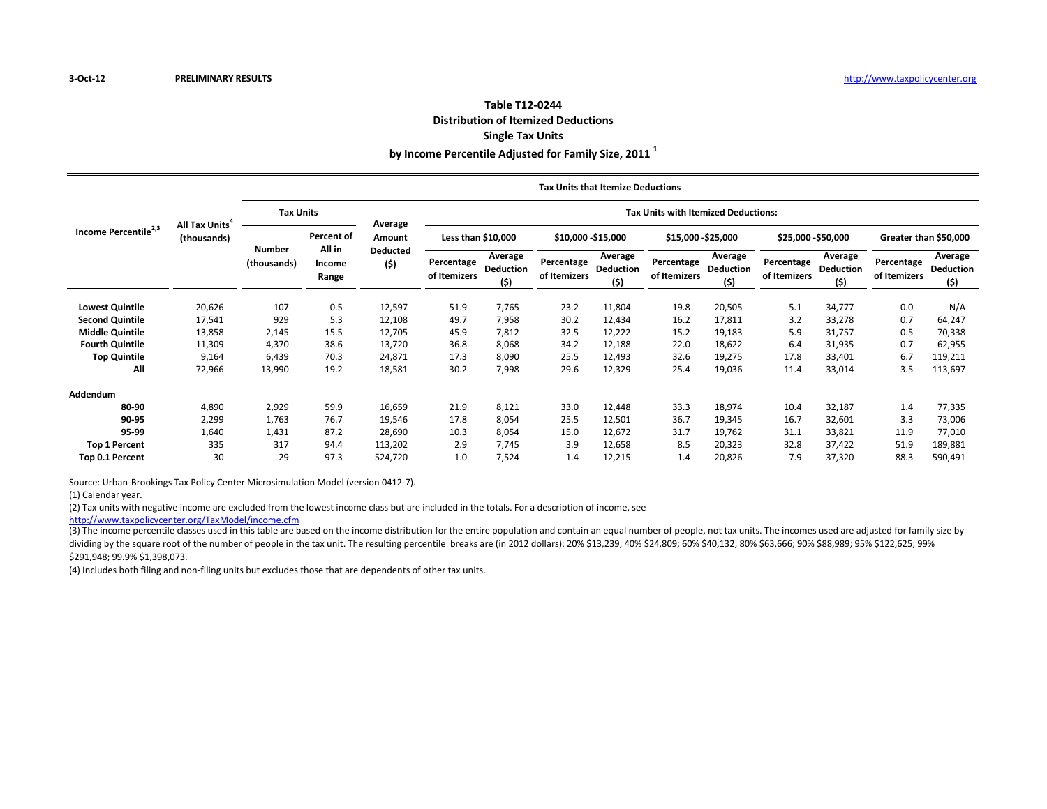# **Table T12-0244 Distribution of Itemized Deductions Single Tax Units**

**by Income Percentile Adjusted for Family Size, 2011 <sup>1</sup>**

|                                  |                                                  |                              |                           |                   |                                            |                                     | <b>Tax Units that Itemize Deductions</b> |                                     |                            |                                    |                            |                                     |                            |                                    |  |  |
|----------------------------------|--------------------------------------------------|------------------------------|---------------------------|-------------------|--------------------------------------------|-------------------------------------|------------------------------------------|-------------------------------------|----------------------------|------------------------------------|----------------------------|-------------------------------------|----------------------------|------------------------------------|--|--|
| Income Percentile <sup>2,3</sup> | <b>All Tax Units</b> <sup>4</sup><br>(thousands) | <b>Tax Units</b>             |                           |                   | <b>Tax Units with Itemized Deductions:</b> |                                     |                                          |                                     |                            |                                    |                            |                                     |                            |                                    |  |  |
|                                  |                                                  |                              | Percent of                | Average<br>Amount | Less than \$10,000<br>\$10,000 - \$15,000  |                                     |                                          |                                     | \$15,000 - \$25,000        |                                    | \$25,000 - \$50,000        |                                     | Greater than \$50,000      |                                    |  |  |
|                                  |                                                  | <b>Number</b><br>(thousands) | All in<br>Income<br>Range | Deducted<br>(5)   | Percentage<br>of Itemizers                 | Average<br><b>Deduction</b><br>(\$) | Percentage<br>of Itemizers               | Average<br><b>Deduction</b><br>(\$) | Percentage<br>of Itemizers | Average<br><b>Deduction</b><br>(5) | Percentage<br>of Itemizers | Average<br><b>Deduction</b><br>(\$) | Percentage<br>of Itemizers | Average<br><b>Deduction</b><br>(5) |  |  |
| <b>Lowest Quintile</b>           | 20,626                                           | 107                          | 0.5                       | 12,597            | 51.9                                       | 7,765                               | 23.2                                     | 11,804                              | 19.8                       | 20,505                             | 5.1                        | 34,777                              | 0.0                        | N/A                                |  |  |
| <b>Second Quintile</b>           | 17,541                                           | 929                          | 5.3                       | 12,108            | 49.7                                       | 7,958                               | 30.2                                     | 12,434                              | 16.2                       | 17,811                             | 3.2                        | 33,278                              | 0.7                        | 64,247                             |  |  |
| <b>Middle Quintile</b>           | 13,858                                           | 2,145                        | 15.5                      | 12,705            | 45.9                                       | 7,812                               | 32.5                                     | 12,222                              | 15.2                       | 19,183                             | 5.9                        | 31,757                              | 0.5                        | 70,338                             |  |  |
| <b>Fourth Quintile</b>           | 11,309                                           | 4,370                        | 38.6                      | 13,720            | 36.8                                       | 8,068                               | 34.2                                     | 12,188                              | 22.0                       | 18,622                             | 6.4                        | 31,935                              | 0.7                        | 62,955                             |  |  |
| <b>Top Quintile</b>              | 9,164                                            | 6,439                        | 70.3                      | 24,871            | 17.3                                       | 8,090                               | 25.5                                     | 12,493                              | 32.6                       | 19,275                             | 17.8                       | 33,401                              | 6.7                        | 119,211                            |  |  |
| All                              | 72,966                                           | 13,990                       | 19.2                      | 18,581            | 30.2                                       | 7,998                               | 29.6                                     | 12,329                              | 25.4                       | 19,036                             | 11.4                       | 33,014                              | 3.5                        | 113,697                            |  |  |
| <b>Addendum</b>                  |                                                  |                              |                           |                   |                                            |                                     |                                          |                                     |                            |                                    |                            |                                     |                            |                                    |  |  |
| 80-90                            | 4,890                                            | 2,929                        | 59.9                      | 16,659            | 21.9                                       | 8,121                               | 33.0                                     | 12,448                              | 33.3                       | 18,974                             | 10.4                       | 32,187                              | 1.4                        | 77,335                             |  |  |
| 90-95                            | 2,299                                            | 1,763                        | 76.7                      | 19,546            | 17.8                                       | 8,054                               | 25.5                                     | 12,501                              | 36.7                       | 19,345                             | 16.7                       | 32,601                              | 3.3                        | 73,006                             |  |  |
| 95-99                            | 1,640                                            | 1,431                        | 87.2                      | 28,690            | 10.3                                       | 8,054                               | 15.0                                     | 12,672                              | 31.7                       | 19,762                             | 31.1                       | 33,821                              | 11.9                       | 77,010                             |  |  |
| <b>Top 1 Percent</b>             | 335                                              | 317                          | 94.4                      | 113,202           | 2.9                                        | 7,745                               | 3.9                                      | 12,658                              | 8.5                        | 20,323                             | 32.8                       | 37,422                              | 51.9                       | 189,881                            |  |  |
| Top 0.1 Percent                  | 30                                               | 29                           | 97.3                      | 524,720           | 1.0                                        | 7,524                               | 1.4                                      | 12,215                              | 1.4                        | 20,826                             | 7.9                        | 37,320                              | 88.3                       | 590,491                            |  |  |

Source: Urban-Brookings Tax Policy Center Microsimulation Model (version 0412-7).

(1) Calendar year.

(2) Tax units with negative income are excluded from the lowest income class but are included in the totals. For a description of income, see

[http://www.taxpolicyce](http://www.taxpolicycenter.org/TaxModel/income.cfm)nter.org/TaxModel/income.cfm

(3) The income percentile classes used in this table are based on the income distribution for the entire population and contain an equal number of people, not tax units. The incomes used are adjusted for family size by dividing by the square root of the number of people in the tax unit. The resulting percentile breaks are (in 2012 dollars): 20% \$13,239; 40% \$24,809; 60% \$40,132; 80% \$63,666; 90% \$88,989; 95% \$122,625; 99% \$291,948; 99.9% \$1,398,073.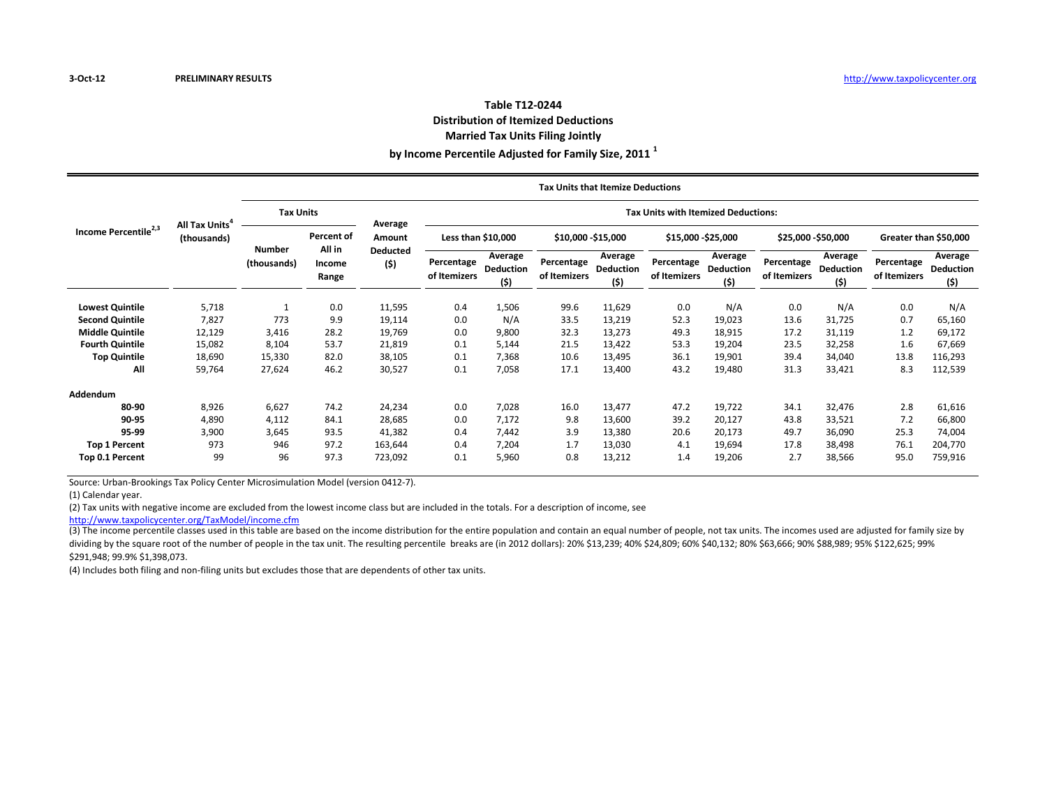#### **Table T12-0244 Distribution of Itemized Deductions Married Tax Units Filing Jointly**

**by Income Percentile Adjusted for Family Size, 2011 <sup>1</sup>**

|                                  | All Tax Units <sup>4</sup><br>(thousands) | <b>Tax Units that Itemize Deductions</b> |                                         |                           |                                            |                                    |                            |                              |                            |                                    |                            |                                     |                            |                             |  |  |
|----------------------------------|-------------------------------------------|------------------------------------------|-----------------------------------------|---------------------------|--------------------------------------------|------------------------------------|----------------------------|------------------------------|----------------------------|------------------------------------|----------------------------|-------------------------------------|----------------------------|-----------------------------|--|--|
|                                  |                                           | <b>Tax Units</b>                         |                                         | Average                   | <b>Tax Units with Itemized Deductions:</b> |                                    |                            |                              |                            |                                    |                            |                                     |                            |                             |  |  |
| Income Percentile <sup>2,3</sup> |                                           |                                          | Percent of<br>All in<br>Income<br>Range | Amount<br>Deducted<br>(5) | Less than \$10,000                         |                                    | \$10,000 - \$15,000        |                              | \$15,000 - \$25,000        |                                    | \$25,000 - \$50,000        |                                     | Greater than \$50,000      |                             |  |  |
|                                  |                                           | <b>Number</b><br>(thousands)             |                                         |                           | Percentage<br>of Itemizers                 | Average<br><b>Deduction</b><br>(5) | Percentage<br>of Itemizers | Average<br>Deduction<br>(\$) | Percentage<br>of Itemizers | Average<br><b>Deduction</b><br>(5) | Percentage<br>of Itemizers | Average<br><b>Deduction</b><br>(\$) | Percentage<br>of Itemizers | Average<br>Deduction<br>(5) |  |  |
| <b>Lowest Quintile</b>           | 5,718                                     |                                          | 0.0                                     | 11,595                    | 0.4                                        | 1,506                              | 99.6                       | 11,629                       | 0.0                        | N/A                                | 0.0                        | N/A                                 | 0.0                        | N/A                         |  |  |
| <b>Second Quintile</b>           | 7,827                                     | 773                                      | 9.9                                     | 19,114                    | 0.0                                        | N/A                                | 33.5                       | 13,219                       | 52.3                       | 19,023                             | 13.6                       | 31,725                              | 0.7                        | 65,160                      |  |  |
| <b>Middle Quintile</b>           | 12,129                                    | 3,416                                    | 28.2                                    | 19,769                    | 0.0                                        | 9,800                              | 32.3                       | 13,273                       | 49.3                       | 18,915                             | 17.2                       | 31,119                              | 1.2                        | 69,172                      |  |  |
| <b>Fourth Quintile</b>           | 15,082                                    | 8,104                                    | 53.7                                    | 21,819                    | 0.1                                        | 5,144                              | 21.5                       | 13,422                       | 53.3                       | 19,204                             | 23.5                       | 32,258                              | 1.6                        | 67,669                      |  |  |
| <b>Top Quintile</b>              | 18,690                                    | 15,330                                   | 82.0                                    | 38,105                    | 0.1                                        | 7,368                              | 10.6                       | 13,495                       | 36.1                       | 19,901                             | 39.4                       | 34,040                              | 13.8                       | 116,293                     |  |  |
| All                              | 59,764                                    | 27,624                                   | 46.2                                    | 30,527                    | 0.1                                        | 7,058                              | 17.1                       | 13,400                       | 43.2                       | 19,480                             | 31.3                       | 33,421                              | 8.3                        | 112,539                     |  |  |
| <b>Addendum</b>                  |                                           |                                          |                                         |                           |                                            |                                    |                            |                              |                            |                                    |                            |                                     |                            |                             |  |  |
| 80-90                            | 8,926                                     | 6,627                                    | 74.2                                    | 24,234                    | 0.0                                        | 7,028                              | 16.0                       | 13,477                       | 47.2                       | 19,722                             | 34.1                       | 32,476                              | 2.8                        | 61,616                      |  |  |
| 90-95                            | 4,890                                     | 4,112                                    | 84.1                                    | 28,685                    | 0.0                                        | 7,172                              | 9.8                        | 13,600                       | 39.2                       | 20,127                             | 43.8                       | 33,521                              | 7.2                        | 66,800                      |  |  |
| 95-99                            | 3,900                                     | 3,645                                    | 93.5                                    | 41,382                    | 0.4                                        | 7,442                              | 3.9                        | 13,380                       | 20.6                       | 20,173                             | 49.7                       | 36,090                              | 25.3                       | 74,004                      |  |  |
| <b>Top 1 Percent</b>             | 973                                       | 946                                      | 97.2                                    | 163,644                   | 0.4                                        | 7,204                              | 1.7                        | 13,030                       | 4.1                        | 19,694                             | 17.8                       | 38,498                              | 76.1                       | 204,770                     |  |  |
| Top 0.1 Percent                  | 99                                        | 96                                       | 97.3                                    | 723,092                   | 0.1                                        | 5,960                              | 0.8                        | 13,212                       | 1.4                        | 19,206                             | 2.7                        | 38,566                              | 95.0                       | 759,916                     |  |  |

Source: Urban-Brookings Tax Policy Center Microsimulation Model (version 0412-7).

(1) Calendar year.

(2) Tax units with negative income are excluded from the lowest income class but are included in the totals. For a description of income, see

[http://www.taxpolicyce](http://www.taxpolicycenter.org/TaxModel/income.cfm)nter.org/TaxModel/income.cfm

(3) The income percentile classes used in this table are based on the income distribution for the entire population and contain an equal number of people, not tax units. The incomes used are adjusted for family size by dividing by the square root of the number of people in the tax unit. The resulting percentile breaks are (in 2012 dollars): 20% \$13,239; 40% \$24,809; 60% \$40,132; 80% \$63,666; 90% \$88,989; 95% \$122,625; 99% \$291,948; 99.9% \$1,398,073.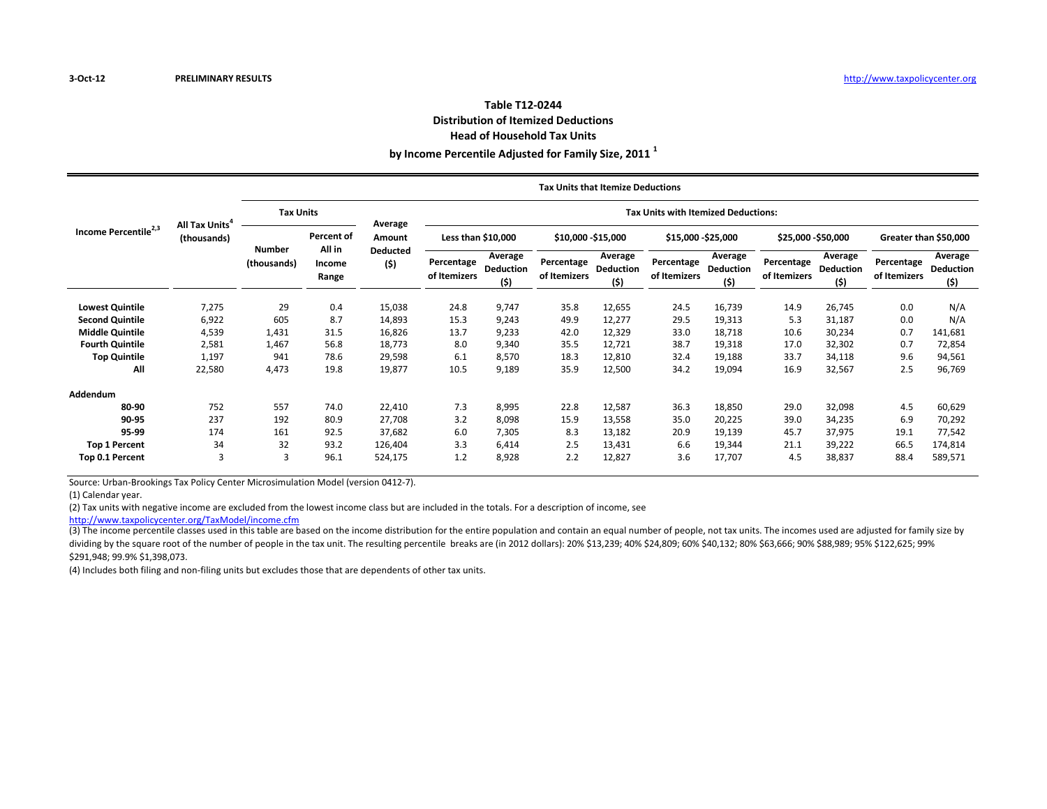#### **Table T12-0244 Distribution of Itemized Deductions Head of Household Tax Units**

**by Income Percentile Adjusted for Family Size, 2011 <sup>1</sup>**

|                                  | All Tax Units<br>(thousands) |                              |                           |                        |                                            |                                     | <b>Tax Units that Itemize Deductions</b> |                                     |                            |                                    |                            |                                     |                            |                                    |  |  |
|----------------------------------|------------------------------|------------------------------|---------------------------|------------------------|--------------------------------------------|-------------------------------------|------------------------------------------|-------------------------------------|----------------------------|------------------------------------|----------------------------|-------------------------------------|----------------------------|------------------------------------|--|--|
| Income Percentile <sup>2,3</sup> |                              | <b>Tax Units</b>             |                           |                        | <b>Tax Units with Itemized Deductions:</b> |                                     |                                          |                                     |                            |                                    |                            |                                     |                            |                                    |  |  |
|                                  |                              |                              | Percent of                | Average<br>Amount      | Less than \$10,000                         |                                     | \$10,000 - \$15,000                      |                                     | \$15,000 - \$25,000        |                                    | \$25,000 - \$50,000        |                                     | Greater than \$50,000      |                                    |  |  |
|                                  |                              | <b>Number</b><br>(thousands) | All in<br>Income<br>Range | <b>Deducted</b><br>(5) | Percentage<br>of Itemizers                 | Average<br><b>Deduction</b><br>(\$) | Percentage<br>of Itemizers               | Average<br><b>Deduction</b><br>(\$) | Percentage<br>of Itemizers | Average<br><b>Deduction</b><br>(5) | Percentage<br>of Itemizers | Average<br><b>Deduction</b><br>(\$) | Percentage<br>of Itemizers | Average<br><b>Deduction</b><br>(5) |  |  |
| <b>Lowest Quintile</b>           | 7,275                        | 29                           | 0.4                       | 15,038                 | 24.8                                       | 9,747                               | 35.8                                     | 12,655                              | 24.5                       | 16,739                             | 14.9                       | 26,745                              | 0.0                        | N/A                                |  |  |
| <b>Second Quintile</b>           | 6,922                        | 605                          | 8.7                       | 14,893                 | 15.3                                       | 9,243                               | 49.9                                     | 12,277                              | 29.5                       | 19,313                             | 5.3                        | 31,187                              | 0.0                        | N/A                                |  |  |
| <b>Middle Quintile</b>           | 4,539                        | 1,431                        | 31.5                      | 16,826                 | 13.7                                       | 9,233                               | 42.0                                     | 12,329                              | 33.0                       | 18,718                             | 10.6                       | 30,234                              | 0.7                        | 141,681                            |  |  |
| <b>Fourth Quintile</b>           | 2,581                        | 1,467                        | 56.8                      | 18,773                 | 8.0                                        | 9,340                               | 35.5                                     | 12,721                              | 38.7                       | 19,318                             | 17.0                       | 32,302                              | 0.7                        | 72,854                             |  |  |
| <b>Top Quintile</b>              | 1,197                        | 941                          | 78.6                      | 29,598                 | 6.1                                        | 8,570                               | 18.3                                     | 12,810                              | 32.4                       | 19,188                             | 33.7                       | 34,118                              | 9.6                        | 94,561                             |  |  |
| All                              | 22,580                       | 4,473                        | 19.8                      | 19,877                 | 10.5                                       | 9,189                               | 35.9                                     | 12,500                              | 34.2                       | 19,094                             | 16.9                       | 32,567                              | 2.5                        | 96,769                             |  |  |
| Addendum                         |                              |                              |                           |                        |                                            |                                     |                                          |                                     |                            |                                    |                            |                                     |                            |                                    |  |  |
| 80-90                            | 752                          | 557                          | 74.0                      | 22,410                 | 7.3                                        | 8,995                               | 22.8                                     | 12,587                              | 36.3                       | 18,850                             | 29.0                       | 32,098                              | 4.5                        | 60,629                             |  |  |
| 90-95                            | 237                          | 192                          | 80.9                      | 27,708                 | 3.2                                        | 8,098                               | 15.9                                     | 13,558                              | 35.0                       | 20,225                             | 39.0                       | 34,235                              | 6.9                        | 70,292                             |  |  |
| 95-99                            | 174                          | 161                          | 92.5                      | 37,682                 | 6.0                                        | 7,305                               | 8.3                                      | 13,182                              | 20.9                       | 19,139                             | 45.7                       | 37,975                              | 19.1                       | 77,542                             |  |  |
| <b>Top 1 Percent</b>             | 34                           | 32                           | 93.2                      | 126,404                | 3.3                                        | 6,414                               | 2.5                                      | 13,431                              | 6.6                        | 19,344                             | 21.1                       | 39,222                              | 66.5                       | 174,814                            |  |  |
| Top 0.1 Percent                  | 3                            |                              | 96.1                      | 524,175                | 1.2                                        | 8,928                               | 2.2                                      | 12,827                              | 3.6                        | 17,707                             | 4.5                        | 38,837                              | 88.4                       | 589,571                            |  |  |

Source: Urban-Brookings Tax Policy Center Microsimulation Model (version 0412-7).

(1) Calendar year.

(2) Tax units with negative income are excluded from the lowest income class but are included in the totals. For a description of income, see

[http://www.taxpolicyce](http://www.taxpolicycenter.org/TaxModel/income.cfm)nter.org/TaxModel/income.cfm

(3) The income percentile classes used in this table are based on the income distribution for the entire population and contain an equal number of people, not tax units. The incomes used are adjusted for family size by dividing by the square root of the number of people in the tax unit. The resulting percentile breaks are (in 2012 dollars): 20% \$13,239; 40% \$24,809; 60% \$40,132; 80% \$63,666; 90% \$88,989; 95% \$122,625; 99% \$291,948; 99.9% \$1,398,073.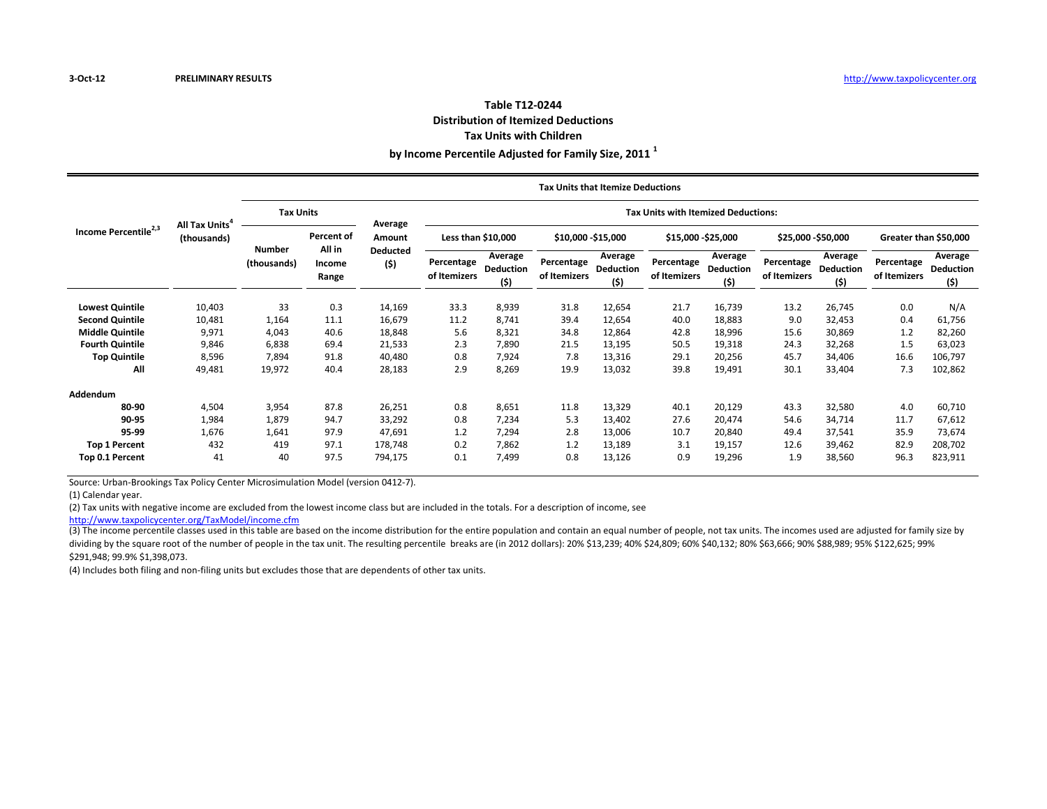#### **Table T12-0244 Distribution of Itemized Deductions Tax Units with Children**

**by Income Percentile Adjusted for Family Size, 2011 <sup>1</sup>**

|                                  | All Tax Units <sup>4</sup><br>(thousands) | <b>Tax Units that Itemize Deductions</b> |                           |                                  |                                            |                                     |                            |                              |                            |                                    |                            |                                    |                            |                                     |  |  |
|----------------------------------|-------------------------------------------|------------------------------------------|---------------------------|----------------------------------|--------------------------------------------|-------------------------------------|----------------------------|------------------------------|----------------------------|------------------------------------|----------------------------|------------------------------------|----------------------------|-------------------------------------|--|--|
|                                  |                                           | <b>Tax Units</b>                         |                           | Average                          | <b>Tax Units with Itemized Deductions:</b> |                                     |                            |                              |                            |                                    |                            |                                    |                            |                                     |  |  |
| Income Percentile <sup>2,3</sup> |                                           |                                          | <b>Percent of</b>         | Amount<br><b>Deducted</b><br>(5) | Less than \$10,000                         |                                     | \$10,000 - \$15,000        |                              | \$15,000 - \$25,000        |                                    | \$25,000 - \$50,000        |                                    | Greater than \$50,000      |                                     |  |  |
|                                  |                                           | <b>Number</b><br>(thousands)             | All in<br>Income<br>Range |                                  | Percentage<br>of Itemizers                 | Average<br><b>Deduction</b><br>(\$) | Percentage<br>of Itemizers | Average<br>Deduction<br>(\$) | Percentage<br>of Itemizers | Average<br><b>Deduction</b><br>(5) | Percentage<br>of Itemizers | Average<br><b>Deduction</b><br>(5) | Percentage<br>of Itemizers | Average<br><b>Deduction</b><br>(\$) |  |  |
| <b>Lowest Quintile</b>           | 10,403                                    | 33                                       | 0.3                       | 14,169                           | 33.3                                       | 8,939                               | 31.8                       | 12,654                       | 21.7                       | 16,739                             | 13.2                       | 26,745                             | 0.0                        | N/A                                 |  |  |
| <b>Second Quintile</b>           | 10,481                                    | 1,164                                    | 11.1                      | 16,679                           | 11.2                                       | 8,741                               | 39.4                       | 12,654                       | 40.0                       | 18,883                             | 9.0                        | 32,453                             | 0.4                        | 61,756                              |  |  |
| <b>Middle Quintile</b>           | 9,971                                     | 4,043                                    | 40.6                      | 18,848                           | 5.6                                        | 8,321                               | 34.8                       | 12,864                       | 42.8                       | 18,996                             | 15.6                       | 30,869                             | 1.2                        | 82,260                              |  |  |
| <b>Fourth Quintile</b>           | 9,846                                     | 6,838                                    | 69.4                      | 21,533                           | 2.3                                        | 7,890                               | 21.5                       | 13,195                       | 50.5                       | 19,318                             | 24.3                       | 32,268                             | 1.5                        | 63,023                              |  |  |
| <b>Top Quintile</b>              | 8,596                                     | 7,894                                    | 91.8                      | 40,480                           | 0.8                                        | 7,924                               | 7.8                        | 13,316                       | 29.1                       | 20,256                             | 45.7                       | 34,406                             | 16.6                       | 106,797                             |  |  |
| All                              | 49,481                                    | 19,972                                   | 40.4                      | 28,183                           | 2.9                                        | 8,269                               | 19.9                       | 13,032                       | 39.8                       | 19,491                             | 30.1                       | 33,404                             | 7.3                        | 102,862                             |  |  |
| Addendum                         |                                           |                                          |                           |                                  |                                            |                                     |                            |                              |                            |                                    |                            |                                    |                            |                                     |  |  |
| 80-90                            | 4,504                                     | 3,954                                    | 87.8                      | 26,251                           | 0.8                                        | 8,651                               | 11.8                       | 13,329                       | 40.1                       | 20,129                             | 43.3                       | 32,580                             | 4.0                        | 60,710                              |  |  |
| 90-95                            | 1,984                                     | 1,879                                    | 94.7                      | 33,292                           | 0.8                                        | 7,234                               | 5.3                        | 13,402                       | 27.6                       | 20,474                             | 54.6                       | 34,714                             | 11.7                       | 67,612                              |  |  |
| 95-99                            | 1,676                                     | 1,641                                    | 97.9                      | 47,691                           | 1.2                                        | 7,294                               | 2.8                        | 13,006                       | 10.7                       | 20,840                             | 49.4                       | 37,541                             | 35.9                       | 73,674                              |  |  |
| <b>Top 1 Percent</b>             | 432                                       | 419                                      | 97.1                      | 178,748                          | 0.2                                        | 7,862                               | 1.2                        | 13,189                       | 3.1                        | 19,157                             | 12.6                       | 39,462                             | 82.9                       | 208,702                             |  |  |
| Top 0.1 Percent                  | 41                                        | 40                                       | 97.5                      | 794,175                          | 0.1                                        | 7,499                               | 0.8                        | 13,126                       | 0.9                        | 19,296                             | 1.9                        | 38,560                             | 96.3                       | 823,911                             |  |  |

Source: Urban-Brookings Tax Policy Center Microsimulation Model (version 0412-7).

(1) Calendar year.

(2) Tax units with negative income are excluded from the lowest income class but are included in the totals. For a description of income, see

[http://www.taxpolicyce](http://www.taxpolicycenter.org/TaxModel/income.cfm)nter.org/TaxModel/income.cfm

(3) The income percentile classes used in this table are based on the income distribution for the entire population and contain an equal number of people, not tax units. The incomes used are adjusted for family size by dividing by the square root of the number of people in the tax unit. The resulting percentile breaks are (in 2012 dollars): 20% \$13,239; 40% \$24,809; 60% \$40,132; 80% \$63,666; 90% \$88,989; 95% \$122,625; 99% \$291,948; 99.9% \$1,398,073.